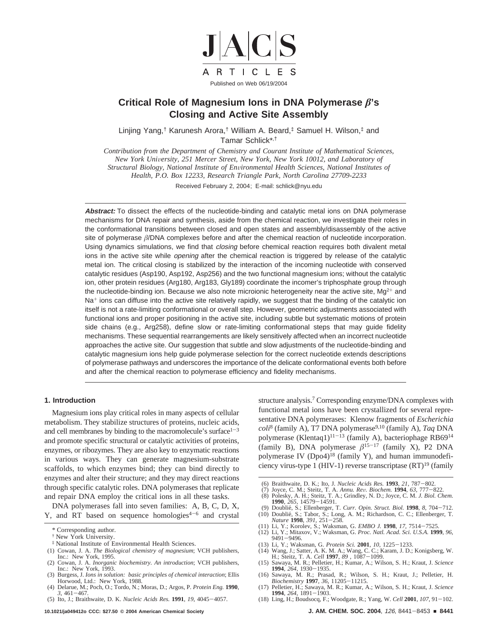

# **Critical Role of Magnesium Ions in DNA Polymerase 's Closing and Active Site Assembly**

Linjing Yang,† Karunesh Arora,† William A. Beard,‡ Samuel H. Wilson,‡ and Tamar Schlick\*,†

*Contribution from the Department of Chemistry and Courant Institute of Mathematical Sciences, New York University, 251 Mercer Street, New York, New York 10012, and Laboratory of Structural Biology, National Institute of Environmental Health Sciences, National Institutes of Health, P.O. Box 12233, Research Triangle Park, North Carolina 27709-2233*

Received February 2, 2004; E-mail: schlick@nyu.edu

**Abstract:** To dissect the effects of the nucleotide-binding and catalytic metal ions on DNA polymerase mechanisms for DNA repair and synthesis, aside from the chemical reaction, we investigate their roles in the conformational transitions between closed and open states and assembly/disassembly of the active site of polymerase  $\beta$ /DNA complexes before and after the chemical reaction of nucleotide incorporation. Using dynamics simulations, we find that *closing* before chemical reaction requires both divalent metal ions in the active site while *opening* after the chemical reaction is triggered by release of the catalytic metal ion. The critical closing is stabilized by the interaction of the incoming nucleotide with conserved catalytic residues (Asp190, Asp192, Asp256) and the two functional magnesium ions; without the catalytic ion, other protein residues (Arg180, Arg183, Gly189) coordinate the incomer's triphosphate group through the nucleotide-binding ion. Because we also note microionic heterogeneity near the active site,  $Mg^{2+}$  and Na<sup>+</sup> ions can diffuse into the active site relatively rapidly, we suggest that the binding of the catalytic ion itself is not a rate-limiting conformational or overall step. However, geometric adjustments associated with functional ions and proper positioning in the active site, including subtle but systematic motions of protein side chains (e.g., Arg258), define slow or rate-limiting conformational steps that may guide fidelity mechanisms. These sequential rearrangements are likely sensitively affected when an incorrect nucleotide approaches the active site. Our suggestion that subtle and slow adjustments of the nucleotide-binding and catalytic magnesium ions help guide polymerase selection for the correct nucleotide extends descriptions of polymerase pathways and underscores the importance of the delicate conformational events both before and after the chemical reaction to polymerase efficiency and fidelity mechanisms.

### **1. Introduction**

Magnesium ions play critical roles in many aspects of cellular metabolism. They stabilize structures of proteins, nucleic acids, and cell membranes by binding to the macromolecule's surface $1-3$ and promote specific structural or catalytic activities of proteins, enzymes, or ribozymes. They are also key to enzymatic reactions in various ways. They can generate magnesium-substrate scaffolds, to which enzymes bind; they can bind directly to enzymes and alter their structure; and they may direct reactions through specific catalytic roles. DNA polymerases that replicate and repair DNA employ the critical ions in all these tasks.

DNA polymerases fall into seven families: A, B, C, D, X, Y, and RT based on sequence homologies $4-6$  and crystal

- ‡ National Institute of Environmental Health Sciences.
- (1) Cowan, J. A. *The Biological chemistry of magnesium*; VCH publishers, Inc.: New York, 1995. (2) Cowan, J. A. *Inorganic biochemistry. An introduction*; VCH publishers,
- Inc.: New York, 1993. (3) Burgess, J. *Ions in solution: basic principles of chemical interaction*; Ellis
- Horwood, Ltd.: New York, 1988. (4) Delarue, M.; Poch, O.; Tordo, N.; Moras, D.; Argos, P. *Protein Eng.* **1990**,
- *3*, 461-467. (5) Ito, J.; Braithwaite, D. K. *Nucleic Acids Res.* **1991**, *19*, 4045-4057.

**10.1021/ja049412o CCC: \$27.50 © 2004 American Chemical Society J. AM. CHEM. SOC. 2004**, 126, 8441-8453 <sup>9</sup> **8441**

structure analysis.<sup>7</sup> Corresponding enzyme/DNA complexes with functional metal ions have been crystallized for several representative DNA polymerases: Klenow fragments of *Escherichia coli*<sup>8</sup> (family A), T7 DNA polymerase9,10 (family A), *Taq* DNA polymerase (Klentaq1)<sup>11-13</sup> (family A), bacteriophage RB69<sup>14</sup> (family B), DNA polymerase  $\beta^{15-17}$  (family X), P2 DNA polymerase IV (Dpo4)<sup>18</sup> (family Y), and human immunodeficiency virus-type 1 (HIV-1) reverse transcriptase  $(RT)^{19}$  (family

- (6) Braithwaite, D. K.; Ito, J. *Nucleic Acids Res.* **1993**, *21*, 787-802.
- (7) Joyce, C. M.; Steitz, T. A. *Annu. Re*V*. Biochem.* **1994**, *63*, 777-822.
- (8) Polesky, A. H.; Steitz, T. A.; Grindley, N. D.; Joyce, C. M. *J. Biol. Chem.* **1990**, *265*, 14579-14591.
- (9) Doublie´, S.; Ellenberger, T. *Curr. Opin. Struct. Biol.* **1998**, *8*, 704-712. (10) Doublie´, S.; Tabor, S.; Long, A. M.; Richardson, C. C.; Ellenberger, T. *Nature* **1998**, *391*, 251-258.
- (11) Li, Y.; Korolev, S.; Waksman, G. *EMBO J.* **1998**, *17*, 7514-7525. (12) Li, Y.; Mitaxov, V.; Waksman, G. *Proc. Natl. Acad. Sci. U.S.A.* **1999**, *96*,
- 9491-9496.
- (13) Li, Y.; Waksman, G. *Protein Sci.* **2001**, *10*, 1225-1233.
- (14) Wang, J.; Satter, A. K. M. A.; Wang, C. C.; Karam, J. D.; Konigsberg, W. H.; Steitz, T. A. *Cell* **1997**, *89* , 1087-1099. (15) Sawaya, M. R.; Pelletier, H.; Kumar, A.; Wilson, S. H.; Kraut, J. *Science*
- **1994**, *264*, 1930-1935. (16) Sawaya, M. R.; Prasad, R.; Wilson, S. H.; Kraut, J.; Pelletier, H.
- *Biochemistry* **1997**, *36*, 11205-11215. (17) Pelletier, H.; Sawaya, M. R.; Kumar, A.; Wilson, S. H.; Kraut, J. *Science*
- **1994**, *264*, 1891-1903. (18) Ling, H.; Boudsocq, F.; Woodgate, R.; Yang, W. *Cell* **2001**, *107*, 91-102.

<sup>\*</sup> Corresponding author.

<sup>†</sup> New York University.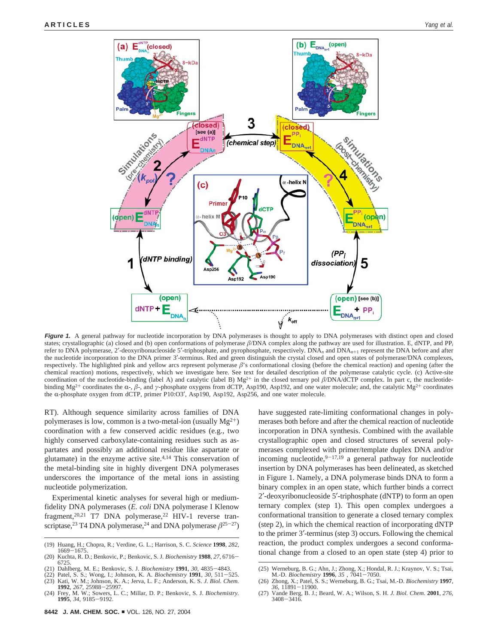

Figure 1. A general pathway for nucleotide incorporation by DNA polymerases is thought to apply to DNA polymerases with distinct open and closed states; crystallographic (a) closed and (b) open conformations of polymerase  $\beta$ /DNA complex along the pathway are used for illustration. E, dNTP, and PP<sub>i</sub> refer to DNA polymerase, 2′-deoxyribonucleoside 5′-triphosphate, and pyrophosphate, respectively. DNA*<sup>n</sup>* and DNA*n*+<sup>1</sup> represent the DNA before and after the nucleotide incorporation to the DNA primer 3'-terminus. Red and green distinguish the crystal closed and open states of polymerase/DNA complexes, respectively. The highlighted pink and yellow arcs represent polymerase  $\beta$ 's conformational closing (before the chemical reaction) and opening (after the chemical reaction) motions, respectively, which we investigate here. See text for detailed description of the polymerase catalytic cycle. (c) Active-site coordination of the nucleotide-binding (label A) and catalytic (label B)  $Mg^{2+}$  in the closed ternary pol  $\beta$ /DNA/dCTP complex. In part c, the nucleotidebinding Mg<sup>2+</sup> coordinates the α-, β-, and γ-phosphate oxygens from dCTP, Asp190, Asp192, and one water molecule; and, the catalytic Mg<sup>2+</sup> coordinates the  $\alpha$ -phosphate oxygen from dCTP, primer P10:O3', Asp190, Asp192, Asp256, and one water molecule.

RT). Although sequence similarity across families of DNA polymerases is low, common is a two-metal-ion (usually  $Mg^{2+}$ ) coordination with a few conserved acidic residues (e.g., two highly conserved carboxylate-containing residues such as aspartates and possibly an additional residue like aspartate or glutamate) in the enzyme active site. $4,14$  This conservation of the metal-binding site in highly divergent DNA polymerases underscores the importance of the metal ions in assisting nucleotide polymerization.

Experimental kinetic analyses for several high or mediumfidelity DNA polymerases (*E. coli* DNA polymerase I Klenow fragment,<sup>20,21</sup> T7 DNA polymerase,<sup>22</sup> HIV-1 reverse transcriptase,<sup>23</sup> T4 DNA polymerase,<sup>24</sup> and DNA polymerase  $\beta^{25-27}$ )

- (20) Kuchta, R. D.; Benkovic, P.; Benkovic, S. J. *Biochemistry* **<sup>1988</sup>**, *<sup>27</sup>*, 6716- 6725.
- (21) Dahlberg, M. E.; Benkovic, S. J. *Biochemistry* **1991**, *30*, 4835-4843.
- (22) Patel, S. S.; Wong, I.; Johnson, K. A. *Biochemistry* **1991**, *30*, 511-525. (23) Kati, W. M.; Johnson, K. A.; Jerva, L. F.; Anderson, K. S. *J. Biol. Chem.* **1992**, *267*, 25988-25997.
- (24) Frey, M. W.; Sowers, L. C.; Millar, D. P.; Benkovic, S. J. *Biochemistry.* **1995**, *34*, 9185-9192.

have suggested rate-limiting conformational changes in polymerases both before and after the chemical reaction of nucleotide incorporation in DNA synthesis. Combined with the available crystallographic open and closed structures of several polymerases complexed with primer/template duplex DNA and/or incoming nucleotide,  $9-17,19$  a general pathway for nucleotide insertion by DNA polymerases has been delineated, as sketched in Figure 1. Namely, a DNA polymerase binds DNA to form a binary complex in an open state, which further binds a correct 2′-deoxyribonucleoside 5′-triphosphate (dNTP) to form an open ternary complex (step 1). This open complex undergoes a conformational transition to generate a closed ternary complex (step 2), in which the chemical reaction of incorporating dNTP to the primer 3′-terminus (step 3) occurs. Following the chemical reaction, the product complex undergoes a second conformational change from a closed to an open state (step 4) prior to

<sup>(19)</sup> Huang, H.; Chopra, R.; Verdine, G. L.; Harrison, S. C. *Science* **1998**, *282*, 1669-1675.

<sup>(25)</sup> Werneburg, B. G.; Ahn, J.; Zhong, X.; Hondal, R. J.; Kraynov, V. S.; Tsai, M.-D. *Biochemistry* **1996**, *35* , 7041-7050.

<sup>(26)</sup> Zhong, X.; Patel, S. S.; Werneburg, B. G.; Tsai, M.-D. *Biochemistry* **<sup>1997</sup>**, *<sup>36</sup>*, 11891-11900.

<sup>(27)</sup> Vande Berg, B. J.; Beard, W. A.; Wilson, S. H. *J. Biol. Chem.* **2001**, *276*, 3408-3416.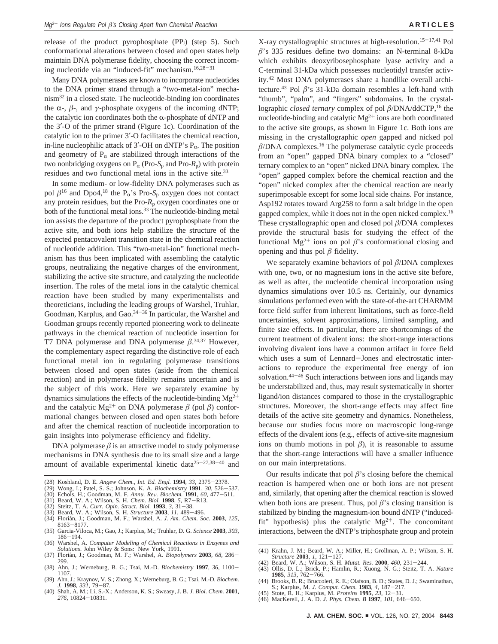release of the product pyrophosphate (PP*i*) (step 5). Such conformational alterations between closed and open states help maintain DNA polymerase fidelity, choosing the correct incoming nucleotide via an "induced-fit" mechanism.16,28-<sup>31</sup>

Many DNA polymerases are known to incorporate nucleotides to the DNA primer strand through a "two-metal-ion" mechanism32 in a closed state. The nucleotide-binding ion coordinates the  $\alpha$ -,  $\beta$ -, and *γ*-phosphate oxygens of the incoming dNTP; the catalytic ion coordinates both the  $\alpha$ -phosphate of dNTP and the 3′-O of the primer strand (Figure 1c). Coordination of the catalytic ion to the primer 3′-O facilitates the chemical reaction, in-line nucleophilic attack of 3'-OH on dNTP's  $P_{\alpha}$ . The position and geometry of  $P_\alpha$  are stabilized through interactions of the two nonbridging oxygens on  $P_\alpha$  (Pro-*S*<sub>p</sub> and Pro-*R*<sub>p</sub>) with protein residues and two functional metal ions in the active site.33

In some medium- or low-fidelity DNA polymerases such as pol  $\beta^{16}$  and Dpo4,<sup>18</sup> the P<sub>a</sub>'s Pro-S<sub>p</sub> oxygen does not contact any protein residues, but the Pro- $R_p$  oxygen coordinates one or both of the functional metal ions.<sup>33</sup> The nucleotide-binding metal ion assists the departure of the product pyrophosphate from the active site, and both ions help stabilize the structure of the expected pentacovalent transition state in the chemical reaction of nucleotide addition. This "two-metal-ion" functional mechanism has thus been implicated with assembling the catalytic groups, neutralizing the negative charges of the environment, stabilizing the active site structure, and catalyzing the nucleotide insertion. The roles of the metal ions in the catalytic chemical reaction have been studied by many experimentalists and theoreticians, including the leading groups of Warshel, Truhlar, Goodman, Karplus, and Gao.<sup>34–36</sup> In particular, the Warshel and Goodman groups recently reported pioneering work to delineate pathways in the chemical reaction of nucleotide insertion for T7 DNA polymerase and DNA polymerase  $\beta$ .<sup>34,37</sup> However, the complementary aspect regarding the distinctive role of each functional metal ion in regulating polymerase transitions between closed and open states (aside from the chemical reaction) and in polymerase fidelity remains uncertain and is the subject of this work. Here we separately examine by dynamics simulations the effects of the nucleotide-binding  $Mg^{2+}$ and the catalytic Mg<sup>2+</sup> on DNA polymerase  $\beta$  (pol  $\beta$ ) conformational changes between closed and open states both before and after the chemical reaction of nucleotide incorporation to gain insights into polymerase efficiency and fidelity.

DNA polymerase  $\beta$  is an attractive model to study polymerase mechanisms in DNA synthesis due to its small size and a large amount of available experimental kinetic data25-27,38-<sup>40</sup> and

- (29) Wong, I.; Patel, S. S.; Johnson, K. A. *Biochemistry* **1991**, *30*, 526-537. (30) Echols, H.; Goodman, M. F. *Annu. Re*V*. Biochem.* **1991**, *60*, 477-511.
- (31) Beard, W. A.; Wilson, S. H. *Chem. Biol.* **1998**, *5*, R7-R13.
- (32) Steitz, T. A. *Curr. Opin. Struct. Biol.* **1993**, *3*, 31-38.
- (33) Beard, W. A.; Wilson, S. H. *Structure* **2003**, *11*, 489-496.
- (34) Floria´n, J.; Goodman, M. F.; Warshel, A. *J. Am. Chem. Soc.* **<sup>2003</sup>**, *<sup>125</sup>*, <sup>8163</sup>-8177.
- (35) Garcia-Viloca, M.; Gao, J.; Karplus, M.; Truhlar, D. G. *Science* **2003**, *303*, 186-194.
- (36) Warshel, A. Computer Modeling of Chemical Reactions in Enzymes and Solutions. John Wiley & Sons: New York, 1991.<br>(37) Florián, J.; Goodman, M. F.; Warshel, A. Biopolymers 2003, 68, 286–
- 299.
- (38) Ahn, J.; Werneburg, B. G.; Tsai, M.-D. *Biochemistry* **1997**, *36*, 1100- 1107.
- (39) Ahn, J.; Kraynov, V. S.; Zhong, X.; Werneburg, B. G.; Tsai, M.-D. *Biochem. J.* **1998**, *331*, 79-87.
- (40) Shah, A. M.; Li, S.-X.; Anderson, K. S.; Sweasy, J. B. *J. Biol. Chem.* **2001**, *276*, 10824-10831.

X-ray crystallographic structures at high-resolution.15-17,41 Pol  $\beta$ 's 335 residues define two domains: an N-terminal 8-kDa which exhibits deoxyribosephosphate lyase activity and a C-terminal 31-kDa which possesses nucleotidyl transfer activity.42 Most DNA polymerases share a handlike overall architecture.<sup>43</sup> Pol  $\beta$ 's 31-kDa domain resembles a left-hand with "thumb", "palm", and "fingers" subdomains. In the crystallographic *closed ternary* complex of pol  $\beta$ /DNA/ddCTP,<sup>16</sup> the nucleotide-binding and catalytic  $Mg^{2+}$  ions are both coordinated to the active site groups, as shown in Figure 1c. Both ions are missing in the crystallographic *open* gapped and nicked pol  $\beta$ /DNA complexes.<sup>16</sup> The polymerase catalytic cycle proceeds from an "open" gapped DNA binary complex to a "closed" ternary complex to an "open" nicked DNA binary complex. The "open" gapped complex before the chemical reaction and the "open" nicked complex after the chemical reaction are nearly superimposable except for some local side chains. For instance, Asp192 rotates toward Arg258 to form a salt bridge in the open gapped complex, while it does not in the open nicked complex.16 These crystallographic open and closed pol  $\beta$ /DNA complexes provide the structural basis for studying the effect of the functional Mg<sup>2+</sup> ions on pol  $\beta$ 's conformational closing and opening and thus pol  $\beta$  fidelity.

We separately examine behaviors of pol  $\beta$ /DNA complexes with one, two, or no magnesium ions in the active site before, as well as after, the nucleotide chemical incorporation using dynamics simulations over 10.5 ns. Certainly, our dynamics simulations performed even with the state-of-the-art CHARMM force field suffer from inherent limitations, such as force-field uncertainties, solvent approximations, limited sampling, and finite size effects. In particular, there are shortcomings of the current treatment of divalent ions: the short-range interactions involving divalent ions have a common artifact in force field which uses a sum of Lennard-Jones and electrostatic interactions to reproduce the experimental free energy of ion solvation.<sup>44-46</sup> Such interactions between ions and ligands may be understabilized and, thus, may result systematically in shorter ligand/ion distances compared to those in the crystallographic structures. Moreover, the short-range effects may affect fine details of the active site geometry and dynamics. Nonetheless, because our studies focus more on macroscopic long-range effects of the divalent ions (e.g., effects of active-site magnesium ions on thumb motions in pol  $\beta$ ), it is reasonable to assume that the short-range interactions will have a smaller influence on our main interpretations.

Our results indicate that pol  $\beta$ 's closing before the chemical reaction is hampered when one or both ions are not present and, similarly, that opening after the chemical reaction is slowed when both ions are present. Thus, pol  $\beta$ 's closing transition is stabilized by binding the magnesium-ion bound dNTP ("inducedfit" hypothesis) plus the catalytic  $Mg^{2+}$ . The concomitant interactions, between the dNTP's triphosphate group and protein

- (42) Beard, W. A.; Wilson, S. H. *Mutat. Res.* **2000**, *460*, 231-244. (43) Ollis, D. L.; Brick, P.; Hamlin, R.; Xuong, N. G.; Steitz, T. A. *Nature*
- **1985**, *313*, 762-766. (44) Brooks, B. R.; Bruccoleri, R. E.; Olafson, B. D.; States, D. J.; Swaminathan,
- 
- S.; Karplus, M. J. Comput. Chem. 1983, 4, 187–217.<br>(45) Stote, R. H.; Karplus, M. Proteins 1995, 23, 12–31.<br>(46) MacKerell, J. A. D. J. Phys. Chem. B 1997, 101, 646–650.

<sup>(28)</sup> Koshland, D. E. *Angew Chem., Int. Ed. Engl.* **1994**, *33*, 2375-2378.

<sup>(41)</sup> Krahn, J. M.; Beard, W. A.; Miller, H.; Grollman, A. P.; Wilson, S. H. *Structure* **2003**, *1*, 121-127.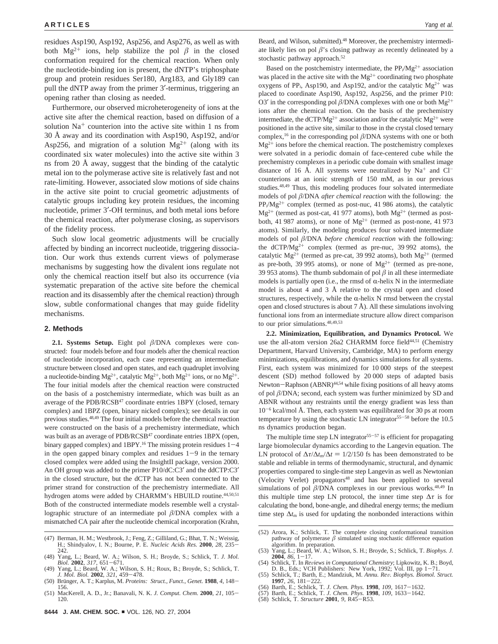residues Asp190, Asp192, Asp256, and Asp276, as well as with both  $Mg^{2+}$  ions, help stabilize the pol  $\beta$  in the closed conformation required for the chemical reaction. When only the nucleotide-binding ion is present, the dNTP's triphosphate group and protein residues Ser180, Arg183, and Gly189 can pull the dNTP away from the primer 3′-terminus, triggering an opening rather than closing as needed.

Furthermore, our observed microheterogeneity of ions at the active site after the chemical reaction, based on diffusion of a solution  $Na<sup>+</sup>$  counterion into the active site within 1 ns from 30 Å away and its coordination with Asp190, Asp192, and/or Asp256, and migration of a solution  $Mg^{2+}$  (along with its coordinated six water molecules) into the active site within 3 ns from 20 Å away, suggest that the binding of the catalytic metal ion to the polymerase active site is relatively fast and not rate-limiting. However, associated slow motions of side chains in the active site point to crucial geometric adjustments of catalytic groups including key protein residues, the incoming nucleotide, primer 3′-OH terminus, and both metal ions before the chemical reaction, after polymerase closing, as supervisors of the fidelity process.

Such slow local geometric adjustments will be crucially affected by binding an incorrect nucleotide, triggering dissociation. Our work thus extends current views of polymerase mechanisms by suggesting how the divalent ions regulate not only the chemical reaction itself but also its occurrence (via systematic preparation of the active site before the chemical reaction and its disassembly after the chemical reaction) through slow, subtle conformational changes that may guide fidelity mechanisms.

#### **2. Methods**

**2.1. Systems Setup.** Eight pol  $\beta$ /DNA complexes were constructed: four models before and four models after the chemical reaction of nucleotide incorporation, each case representing an intermediate structure between closed and open states, and each quadruplet involving a nucleotide-binding Mg<sup>2+</sup>, catalytic Mg<sup>2+</sup>, both Mg<sup>2+</sup> ions, or no Mg<sup>2+</sup>. The four initial models after the chemical reaction were constructed on the basis of a postchemistry intermediate, which was built as an average of the PDB/RCSB<sup>47</sup> coordinate entries 1BPY (closed, ternary complex) and 1BPZ (open, binary nicked complex); see details in our previous studies.48,49 The four initial models before the chemical reaction were constructed on the basis of a prechemistry intermediate, which was built as an average of PDB/RCSB<sup>47</sup> coordinate entries 1BPX (open, binary gapped complex) and  $1BPY<sup>16</sup>$ . The missing protein residues  $1-4$ in the open gapped binary complex and residues  $1-9$  in the ternary closed complex were added using the InsightII package, version 2000. An OH group was added to the primer P10/dC:C3′ and the ddCTP:C3′ in the closed structure, but the dCTP has not been connected to the primer strand for construction of the prechemistry intermediate. All hydrogen atoms were added by CHARMM's HBUILD routine.<sup>44,50,51</sup> Both of the constructed intermediate models resemble well a crystallographic structure of an intermediate pol  $\beta$ /DNA complex with a mismatched CA pair after the nucleotide chemical incorporation (Krahn,

- (47) Berman, H. M.; Westbrook, J.; Feng, Z.; Gilliland, G.; Bhat, T. N.; Weissig, H.; Shindyalov, I. N.; Bourne, P. E. *Nucleic Acids Res.* **2000**, *28*, 235- 242.
- (48) Yang, L.; Beard, W. A.; Wilson, S. H.; Broyde, S.; Schlick, T. *J. Mol.*
- *Biol.* **2002**, *317*, 651-671. (49) Yang, L.; Beard, W. A.; Wilson, S. H.; Roux, B.; Broyde, S.; Schlick, T. *J. Mol. Biol.* **2002**, *321*, 459-478.
- (50) Bru¨nger, A. T.; Karplus, M. *Proteins: Struct., Funct., Genet.* **<sup>1988</sup>**, *<sup>4</sup>*, 148- 156.
- (51) MacKerell, A. D., Jr.; Banavali, N. K. *J. Comput. Chem.* **2000**, *21*, 105- 120.

Beard, and Wilson, submitted).<sup>48</sup> Moreover, the prechemistry intermediate likely lies on pol  $\beta$ 's closing pathway as recently delineated by a stochastic pathway approach.<sup>52</sup>

Based on the postchemistry intermediate, the  $PP_i/Mg^{2+}$  association was placed in the active site with the  $Mg^{2+}$  coordinating two phosphate oxygens of PP<sub>i</sub>, Asp190, and Asp192, and/or the catalytic  $Mg^{2+}$  was placed to coordinate Asp190, Asp192, Asp256, and the primer P10: O3' in the corresponding pol  $\beta$ /DNA complexes with one or both Mg<sup>2+</sup> ions after the chemical reaction. On the basis of the prechemistry intermediate, the dCTP/Mg<sup>2+</sup> association and/or the catalytic Mg<sup>2+</sup> were positioned in the active site, similar to those in the crystal closed ternary complex,<sup>16</sup> in the corresponding pol  $\beta$ /DNA systems with one or both  $Mg^{2+}$  ions before the chemical reaction. The postchemistry complexes were solvated in a periodic domain of face-centered cube while the prechemistry complexes in a periodic cube domain with smallest image distance of 16 Å. All systems were neutralized by  $Na<sup>+</sup>$  and  $Cl$ counterions at an ionic strength of 150 mM, as in our previous studies.48,49 Thus, this modeling produces four solvated intermediate models of pol  $\beta$ /DNA *after chemical reaction* with the following: the PP<sub>i</sub>/Mg<sup>2+</sup> complex (termed as post-nuc, 41 986 atoms), the catalytic  $Mg^{2+}$  (termed as post-cat, 41 977 atoms), both  $Mg^{2+}$  (termed as postboth, 41 987 atoms), or none of  $Mg^{2+}$  (termed as post-none, 41 973 atoms). Similarly, the modeling produces four solvated intermediate models of pol  $\beta$ /DNA *before chemical reaction* with the following: the dCTP/Mg<sup>2+</sup> complex (termed as pre-nuc, 39 992 atoms), the catalytic Mg<sup>2+</sup> (termed as pre-cat, 39 992 atoms), both Mg<sup>2+</sup> (termed as pre-both, 39 995 atoms), or none of  $Mg^{2+}$  (termed as pre-none, 39 953 atoms). The thumb subdomain of pol  $\beta$  in all these intermediate models is partially open (i.e., the rmsd of  $\alpha$ -helix N in the intermediate model is about 4 and 3 Å relative to the crystal open and closed structures, respectively, while the  $\alpha$ -helix N rmsd between the crystal open and closed structures is about  $7 \text{ Å}$ ). All these simulations involving functional ions from an intermediate structure allow direct comparison to our prior simulations.48,49,53

**2.2. Minimization, Equilibration, and Dynamics Protocol.** We use the all-atom version 26a2 CHARMM force field<sup>44,51</sup> (Chemistry Department, Harvard University, Cambridge, MA) to perform energy minimizations, equilibrations, and dynamics simulations for all systems. First, each system was minimized for 10 000 steps of the steepest descent (SD) method followed by 20 000 steps of adapted basis Newton-Raphson (ABNR)<sup>44,54</sup> while fixing positions of all heavy atoms of pol  $\beta$ /DNA; second, each system was further minimized by SD and ABNR without any restraints until the energy gradient was less than 10-<sup>6</sup> kcal/mol Å. Then, each system was equilibrated for 30 ps at room temperature by using the stochastic LN integrator<sup>55-58</sup> before the  $10.5$ ns dynamics production began.

The multiple time step LN integrator<sup>55-57</sup> is efficient for propagating large biomolecular dynamics according to the Langevin equation. The LN protocol of  $\Delta \tau / \Delta t$ <sub>m</sub> $\Delta t = 1/2/150$  fs has been demonstrated to be stable and reliable in terms of thermodynamic, structural, and dynamic properties compared to single-time step Langevin as well as Newtonian (Velocity Verlet) propagators<sup>48</sup> and has been applied to several simulations of pol  $\beta$ /DNA complexes in our previous works.<sup>48,49</sup> In this multiple time step LN protocol, the inner time step  $\Delta \tau$  is for calculating the bond, bone-angle, and dihedral energy terms; the medium time step  $\Delta t$ <sub>m</sub> is used for updating the nonbonded interactions within

- (54) Schlick, T. In *Re*V*iews in Computational Chemistry*; Lipkowitz, K. B.; Boyd, D. B., Eds.; VCH Publishers: New York, 1992; Vol. III, pp 1-71. (55) Schlick, T.; Barth, E.; Mandziuk, M. *Annu. Re*V*. Biophys. Biomol. Struct.*
- **1997**, *26*, 181-222.
- (56) Barth, E.; Schlick, T. J. Chem. Phys. **1998**, 109, 1617–1632.<br>(57) Barth, E.; Schlick, T. J. Chem. Phys. **1998**, 109, 1633–1642.<br>(58) Schlick, T. *Structure* **2001**, 9, R45–R53.
- 

<sup>(52)</sup> Arora, K.; Schlick, T. The complete closing conformational transition pathway of polymerase  $\beta$  simulated using stochastic difference equation algorithm. In preparation.

<sup>(53)</sup> Yang, L.; Beard, W. A.; Wilson, S. H.; Broyde, S.; Schlick, T. *Biophys. J.* **2004**, *86*, 1-17.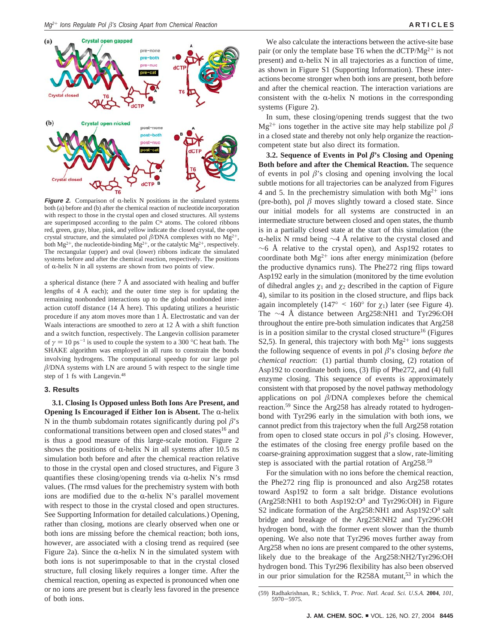

**Figure 2.** Comparison of  $\alpha$ -helix N positions in the simulated systems both (a) before and (b) after the chemical reaction of nucleotide incorporation with respect to those in the crystal open and closed structures. All systems are superimposed according to the palm  $C^{\alpha}$  atoms. The colored ribbons red, green, gray, blue, pink, and yellow indicate the closed crystal, the open crystal structure, and the simulated pol  $\beta$ /DNA complexes with no Mg<sup>2+</sup>, both  $Mg^{2+}$ , the nucleotide-binding  $Mg^{2+}$ , or the catalytic  $Mg^{2+}$ , respectively. The rectangular (upper) and oval (lower) ribbons indicate the simulated systems before and after the chemical reaction, respectively. The positions of  $\alpha$ -helix N in all systems are shown from two points of view.

a spherical distance (here 7 Å and associated with healing and buffer lengths of 4 Å each); and the outer time step is for updating the remaining nonbonded interactions up to the global nonbonded interaction cutoff distance (14 Å here). This updating utilizes a heuristic procedure if any atom moves more than 1 Å. Electrostatic and van der Waals interactions are smoothed to zero at 12 Å with a shift function and a switch function, respectively. The Langevin collision parameter of  $\gamma = 10 \text{ ps}^{-1}$  is used to couple the system to a 300 °C heat bath. The SHAKE algorithm was employed in all runs to constrain the bonds involving hydrogens. The computational speedup for our large pol  $\beta$ /DNA systems with LN are around 5 with respect to the single time step of 1 fs with Langevin.48

# **3. Results**

**3.1. Closing Is Opposed unless Both Ions Are Present, and Opening Is Encouraged if Either Ion is Absent.** The  $\alpha$ -helix N in the thumb subdomain rotates significantly during pol  $\beta$ 's conformational transitions between open and closed states<sup>16</sup> and is thus a good measure of this large-scale motion. Figure 2 shows the positions of  $\alpha$ -helix N in all systems after 10.5 ns simulation both before and after the chemical reaction relative to those in the crystal open and closed structures, and Figure 3 quantifies these closing/opening trends via  $\alpha$ -helix N's rmsd values. (The rmsd values for the prechemistry system with both ions are modified due to the  $\alpha$ -helix N's parallel movement with respect to those in the crystal closed and open structures. See Supporting Information for detailed calculations.) Opening, rather than closing, motions are clearly observed when one or both ions are missing before the chemical reaction; both ions, however, are associated with a closing trend as required (see Figure 2a). Since the  $\alpha$ -helix N in the simulated system with both ions is not superimposable to that in the crystal closed structure, full closing likely requires a longer time. After the chemical reaction, opening as expected is pronounced when one or no ions are present but is clearly less favored in the presence of both ions.

We also calculate the interactions between the active-site base pair (or only the template base T6 when the  $dCTP/Mg^{2+}$  is not present) and  $\alpha$ -helix N in all trajectories as a function of time, as shown in Figure S1 (Supporting Information). These interactions become stronger when both ions are present, both before and after the chemical reaction. The interaction variations are consistent with the  $\alpha$ -helix N motions in the corresponding systems (Figure 2).

In sum, these closing/opening trends suggest that the two  $Mg^{2+}$  ions together in the active site may help stabilize pol  $\beta$ in a closed state and thereby not only help organize the reactioncompetent state but also direct its formation.

**3.2. Sequence of Events in Pol**  $\beta$ 's Closing and Opening **Both before and after the Chemical Reaction.** The sequence of events in pol  $\beta$ 's closing and opening involving the local subtle motions for all trajectories can be analyzed from Figures 4 and 5. In the prechemistry simulation with both  $Mg^{2+}$  ions (pre-both), pol  $\beta$  moves slightly toward a closed state. Since our initial models for all systems are constructed in an intermediate structure between closed and open states, the thumb is in a partially closed state at the start of this simulation (the α-helix N rmsd being  $\sim$ 4 Å relative to the crystal closed and  $~\sim$ 6 Å relative to the crystal open), and Asp192 rotates to coordinate both  $Mg^{2+}$  ions after energy minimization (before the productive dynamics runs). The Phe272 ring flips toward Asp192 early in the simulation (monitored by the time evolution of dihedral angles  $\chi_1$  and  $\chi_2$  described in the caption of Figure 4), similar to its position in the closed structure, and flips back again incompletely (147° < 160° for  $\chi_1$ ) later (see Figure 4). The ∼4 Å distance between Arg258:NH1 and Tyr296:OH throughout the entire pre-both simulation indicates that Arg258 is in a position similar to the crystal closed structure<sup>16</sup> (Figures S2,5). In general, this trajectory with both  $Mg^{2+}$  ions suggests the following sequence of events in pol  $\beta$ 's closing *before the chemical reaction*: (1) partial thumb closing, (2) rotation of Asp192 to coordinate both ions, (3) flip of Phe272, and (4) full enzyme closing. This sequence of events is approximately consistent with that proposed by the novel pathway methodology applications on pol  $\beta$ /DNA complexes before the chemical reaction.59 Since the Arg258 has already rotated to hydrogenbond with Tyr296 early in the simulation with both ions, we cannot predict from this trajectory when the full Arg258 rotation from open to closed state occurs in pol  $\beta$ 's closing. However, the estimates of the closing free energy profile based on the coarse-graining approximation suggest that a slow, rate-limiting step is associated with the partial rotation of Arg258.<sup>59</sup>

For the simulation with no ions before the chemical reaction, the Phe272 ring flip is pronounced and also Arg258 rotates toward Asp192 to form a salt bridge. Distance evolutions (Arg258:NH1 to both Asp192: $O^{\delta}$  and Tyr296:OH) in Figure S2 indicate formation of the Arg258:NH1 and Asp192: $O^{\delta}$  salt bridge and breakage of the Arg258:NH2 and Tyr296:OH hydrogen bond, with the former event slower than the thumb opening. We also note that Tyr296 moves further away from Arg258 when no ions are present compared to the other systems, likely due to the breakage of the Arg258:NH2/Tyr296:OH hydrogen bond. This Tyr296 flexibility has also been observed in our prior simulation for the R258A mutant,<sup>53</sup> in which the

<sup>(59)</sup> Radhakrishnan, R.; Schlick, T. *Proc. Natl. Acad. Sci. U.S.A.* **2004**, *101*, 5970-5975.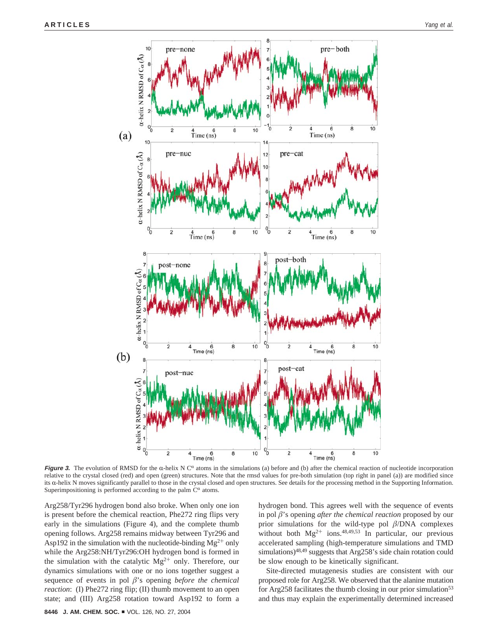

**Figure 3.** The evolution of RMSD for the  $\alpha$ -helix N  $C^{\alpha}$  atoms in the simulations (a) before and (b) after the chemical reaction of nucleotide incorporation relative to the crystal closed (red) and open (green) structures. Note that the rmsd values for pre-both simulation (top right in panel (a)) are modified since its α-helix N moves significantly parallel to those in the crystal closed and open structures. See details for the processing method in the Supporting Information. Superimpositioning is performed according to the palm  $C^{\alpha}$  atoms.

Arg258/Tyr296 hydrogen bond also broke. When only one ion is present before the chemical reaction, Phe272 ring flips very early in the simulations (Figure 4), and the complete thumb opening follows. Arg258 remains midway between Tyr296 and Asp192 in the simulation with the nucleotide-binding  $Mg^{2+}$  only while the Arg258:NH/Tyr296:OH hydrogen bond is formed in the simulation with the catalytic  $Mg^{2+}$  only. Therefore, our dynamics simulations with one or no ions together suggest a sequence of events in pol  $\beta$ 's opening *before the chemical reaction*: (I) Phe272 ring flip; (II) thumb movement to an open state; and (III) Arg258 rotation toward Asp192 to form a hydrogen bond. This agrees well with the sequence of events in pol  $\beta$ 's opening *after the chemical reaction* proposed by our prior simulations for the wild-type pol  $\beta$ /DNA complexes without both  $Mg^{2+}$  ions.<sup>48,49,53</sup> In particular, our previous accelerated sampling (high-temperature simulations and TMD simulations)<sup>48,49</sup> suggests that Arg258's side chain rotation could be slow enough to be kinetically significant.

Site-directed mutagenesis studies are consistent with our proposed role for Arg258. We observed that the alanine mutation for Arg258 facilitates the thumb closing in our prior simulation<sup>53</sup> and thus may explain the experimentally determined increased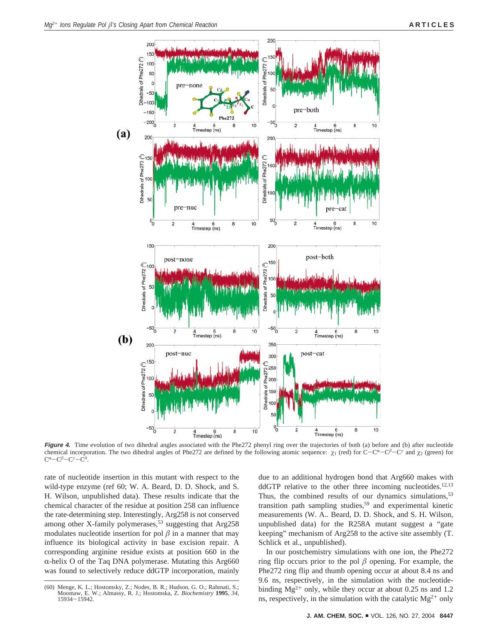

**Figure 4.** Time evolution of two dihedral angles associated with the Phe272 phenyl ring over the trajectories of both (a) before and (b) after nucleotide chemical incorporation. The two dihedral angles of Phe272 are defined by the following atomic sequence:  $\chi_1$  (red) for C-C<sup>α</sup>-C<sup>β</sup> and  $\chi_2$  (green) for  $C^{\alpha}-C^{\beta}-C^{\gamma}-C^{\delta}$ .

rate of nucleotide insertion in this mutant with respect to the wild-type enzyme (ref 60; W. A. Beard, D. D. Shock, and S. H. Wilson, unpublished data). These results indicate that the chemical character of the residue at position 258 can influence the rate-determining step. Interestingly, Arg258 is not conserved among other X-family polymerases,<sup>53</sup> suggesting that Arg258 modulates nucleotide insertion for pol  $\beta$  in a manner that may influence its biological activity in base excision repair. A corresponding arginine residue exists at position 660 in the  $\alpha$ -helix O of the Taq DNA polymerase. Mutating this Arg660 was found to selectively reduce ddGTP incorporation, mainly due to an additional hydrogen bond that Arg660 makes with  $ddGTP$  relative to the other three incoming nucleotides.<sup>12,13</sup> Thus, the combined results of our dynamics simulations,  $53$ transition path sampling studies,<sup>59</sup> and experimental kinetic measurements (W. A.. Beard, D. D. Shock, and S. H. Wilson, unpublished data) for the R258A mutant suggest a "gate keeping" mechanism of Arg258 to the active site assembly (T. Schlick et al., unpublished).

In our postchemistry simulations with one ion, the Phe272 ring flip occurs prior to the pol  $\beta$  opening. For example, the Phe272 ring flip and thumb opening occur at about 8.4 ns and 9.6 ns, respectively, in the simulation with the nucleotidebinding  $Mg^{2+}$  only, while they occur at about 0.25 ns and 1.2 ns, respectively, in the simulation with the catalytic  $Mg^{2+}$  only

<sup>(60)</sup> Menge, K. L.; Hostomsky, Z.; Nodes, B. R.; Hudson, G. O.; Rahmati, S.; Moomaw, E. W.; Almassy, R. J.; Hostomska, Z. *Biochemistry* **<sup>1995</sup>**, *<sup>34</sup>*, <sup>15934</sup>-15942.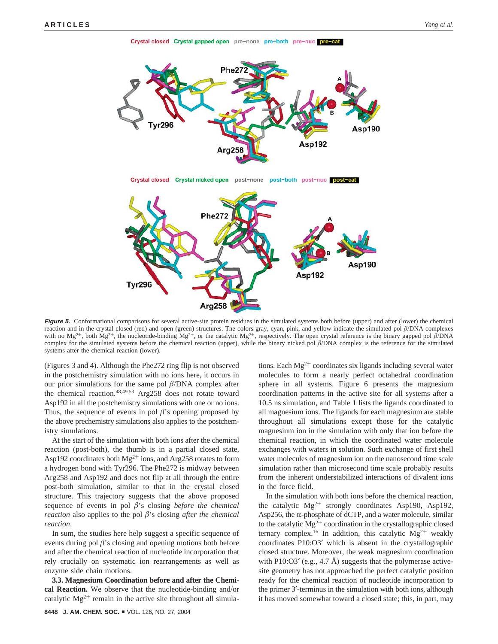Crystal closed Crystal gapped open pre-none pre-both pre-nuc pre-cat



Figure 5. Conformational comparisons for several active-site protein residues in the simulated systems both before (upper) and after (lower) the chemical reaction and in the crystal closed (red) and open (green) structures. The colors gray, cyan, pink, and yellow indicate the simulated pol  $\beta/DNA$  complexes with no Mg<sup>2+</sup>, both Mg<sup>2+</sup>, the nucleotide-binding Mg<sup>2+</sup>, or the catalytic Mg<sup>2+</sup>, respectively. The open crystal reference is the binary gapped pol  $\beta$ /DNA complex for the simulated systems before the chemical reaction (upper), while the binary nicked pol  $\beta$ /DNA complex is the reference for the simulated systems after the chemical reaction (lower).

(Figures 3 and 4). Although the Phe272 ring flip is not observed in the postchemistry simulation with no ions here, it occurs in our prior simulations for the same pol  $\beta$ /DNA complex after the chemical reaction.<sup>48,49,53</sup> Arg258 does not rotate toward Asp192 in all the postchemistry simulations with one or no ions. Thus, the sequence of events in pol  $\beta$ 's opening proposed by the above prechemistry simulations also applies to the postchemistry simulations.

At the start of the simulation with both ions after the chemical reaction (post-both), the thumb is in a partial closed state, Asp192 coordinates both  $Mg^{2+}$  ions, and Arg258 rotates to form a hydrogen bond with Tyr296. The Phe272 is midway between Arg258 and Asp192 and does not flip at all through the entire post-both simulation, similar to that in the crystal closed structure. This trajectory suggests that the above proposed sequence of events in pol  $\beta$ 's closing *before the chemical reaction* also applies to the pol  $\beta$ 's closing *after the chemical reaction*.

In sum, the studies here help suggest a specific sequence of events during pol  $\beta$ 's closing and opening motions both before and after the chemical reaction of nucleotide incorporation that rely crucially on systematic ion rearrangements as well as enzyme side chain motions.

**3.3. Magnesium Coordination before and after the Chemical Reaction.** We observe that the nucleotide-binding and/or catalytic  $Mg^{2+}$  remain in the active site throughout all simulations. Each  $Mg^{2+}$  coordinates six ligands including several water molecules to form a nearly perfect octahedral coordination sphere in all systems. Figure 6 presents the magnesium coordination patterns in the active site for all systems after a 10.5 ns simulation, and Table 1 lists the ligands coordinated to all magnesium ions. The ligands for each magnesium are stable throughout all simulations except those for the catalytic magnesium ion in the simulation with only that ion before the chemical reaction, in which the coordinated water molecule exchanges with waters in solution. Such exchange of first shell water molecules of magnesium ion on the nanosecond time scale simulation rather than microsecond time scale probably results from the inherent understabilized interactions of divalent ions in the force field.

In the simulation with both ions before the chemical reaction, the catalytic Mg2<sup>+</sup> strongly coordinates Asp190, Asp192, Asp256, the  $\alpha$ -phosphate of dCTP, and a water molecule, similar to the catalytic  $Mg^{2+}$  coordination in the crystallographic closed ternary complex.<sup>16</sup> In addition, this catalytic  $Mg^{2+}$  weakly coordinates P10:O3′ which is absent in the crystallographic closed structure. Moreover, the weak magnesium coordination with P10:O3' (e.g., 4.7 Å) suggests that the polymerase activesite geometry has not approached the perfect catalytic position ready for the chemical reaction of nucleotide incorporation to the primer 3′-terminus in the simulation with both ions, although it has moved somewhat toward a closed state; this, in part, may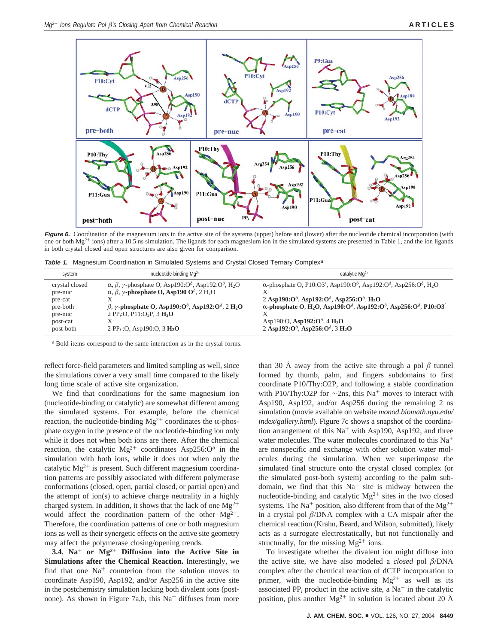

Figure 6. Coordination of the magnesium ions in the active site of the systems (upper) before and (lower) after the nucleotide chemical incorporation (with one or both  $Mg^{2+}$  ions) after a 10.5 ns simulation. The ligands for each magnesium ion in the simulated systems are presented in Table 1, and the ion ligands in both crystal closed and open structures are also given for comparison.

**Table 1.** Magnesium Coordination in Simulated Systems and Crystal Closed Ternary Complex<sup>a</sup>

| system                                                                  | nucleotide-binding $Mq^{2+}$                                                                                                                                                                                                                                                                                                                                                                                                                                              | catalytic $Mq^{2+}$                                                                                                                                                                                                                                                                                                                                                                                                                                                                                               |
|-------------------------------------------------------------------------|---------------------------------------------------------------------------------------------------------------------------------------------------------------------------------------------------------------------------------------------------------------------------------------------------------------------------------------------------------------------------------------------------------------------------------------------------------------------------|-------------------------------------------------------------------------------------------------------------------------------------------------------------------------------------------------------------------------------------------------------------------------------------------------------------------------------------------------------------------------------------------------------------------------------------------------------------------------------------------------------------------|
| crystal closed<br>pre-nuc<br>pre-cat<br>pre-both<br>pre-nuc<br>post-cat | $\alpha$ , $\beta$ , $\gamma$ -phosphate O, Asp190:O <sup><math>\delta</math></sup> , Asp192:O <sup><math>\delta</math></sup> , H <sub>2</sub> O<br>$\alpha$ , $\beta$ , $\gamma$ -phosphate O, Asp190 O <sup><math>\delta</math></sup> , 2 H <sub>2</sub> O<br>$\beta$ , $\gamma$ -phosphate O, Asp190:O <sup><math>\delta</math></sup> , Asp192:O <sup><math>\delta</math></sup> , 2 H <sub>2</sub> O<br>2 PP <sub>i</sub> :O, P11:O <sub>2</sub> P, 3 H <sub>2</sub> O | $\alpha$ -phosphate O, P10:O3', Asp190:O <sup><math>\delta</math></sup> , Asp192:O <sup><math>\delta</math></sup> , Asp256:O <sup><math>\delta</math></sup> , H <sub>2</sub> O<br>2 Asp190: $O^{\delta}$ , Asp192: $O^{\delta}$ , Asp256: $O^{\delta}$ , H <sub>2</sub> O<br>$\alpha$ -phosphate O, H <sub>2</sub> O, Asp190:O <sup><math>\delta</math></sup> , Asp192:O <sup><math>\delta</math></sup> , Asp256:O <sup><math>\delta</math></sup> , P10:O3<br>Asp190:O, Asp192: $O^{\delta}$ , 4 H <sub>2</sub> O |
| post-both                                                               | 2 PP <sub>i</sub> : O, Asp190: O, 3 $H_2O$                                                                                                                                                                                                                                                                                                                                                                                                                                | 2 Asp192: $O^{\delta}$ , Asp256: $O^{\delta}$ , 3 H <sub>2</sub> O                                                                                                                                                                                                                                                                                                                                                                                                                                                |

*<sup>a</sup>* Bold items correspond to the same interaction as in the crystal forms.

reflect force-field parameters and limited sampling as well, since the simulations cover a very small time compared to the likely long time scale of active site organization.

We find that coordinations for the same magnesium ion (nucleotide-binding or catalytic) are somewhat different among the simulated systems. For example, before the chemical reaction, the nucleotide-binding  $Mg^{2+}$  coordinates the  $\alpha$ -phosphate oxygen in the presence of the nucleotide-binding ion only while it does not when both ions are there. After the chemical reaction, the catalytic Mg<sup>2+</sup> coordinates Asp256: $O^{\delta}$  in the simulation with both ions, while it does not when only the catalytic  $Mg^{2+}$  is present. Such different magnesium coordination patterns are possibly associated with different polymerase conformations (closed, open, partial closed, or partial open) and the attempt of ion(s) to achieve charge neutrality in a highly charged system. In addition, it shows that the lack of one  $Mg^{2+}$ would affect the coordination pattern of the other  $Mg^{2+}$ . Therefore, the coordination patterns of one or both magnesium ions as well as their synergetic effects on the active site geometry may affect the polymerase closing/opening trends.

**3.4. Na**<sup>+</sup> **or Mg2**<sup>+</sup> **Diffusion into the Active Site in Simulations after the Chemical Reaction.** Interestingly, we find that one  $Na<sup>+</sup>$  counterion from the solution moves to coordinate Asp190, Asp192, and/or Asp256 in the active site in the postchemistry simulation lacking both divalent ions (postnone). As shown in Figure 7a,b, this  $Na<sup>+</sup>$  diffuses from more than 30 Å away from the active site through a pol  $\beta$  tunnel formed by thumb, palm, and fingers subdomains to first coordinate P10/Thy:O2P, and following a stable coordination with P10/Thy:O2P for  $\sim$ 2ns, this Na<sup>+</sup> moves to interact with Asp190, Asp192, and/or Asp256 during the remaining 2 ns simulation (movie available on website *monod.biomath.nyu.edu/ index/gallery.html*). Figure 7c shows a snapshot of the coordination arrangement of this  $Na<sup>+</sup>$  with Asp190, Asp192, and three water molecules. The water molecules coordinated to this Na<sup>+</sup> are nonspecific and exchange with other solution water molecules during the simulation. When we superimpose the simulated final structure onto the crystal closed complex (or the simulated post-both system) according to the palm subdomain, we find that this  $Na<sup>+</sup>$  site is midway between the nucleotide-binding and catalytic  $Mg^{2+}$  sites in the two closed systems. The Na<sup>+</sup> position, also different from that of the Mg<sup>2+</sup> in a crystal pol  $\beta$ /DNA complex with a CA mispair after the chemical reaction (Krahn, Beard, and Wilson, submitted), likely acts as a surrogate electrostatically, but not functionally and structurally, for the missing  $Mg^{2+}$  ions.

To investigate whether the divalent ion might diffuse into the active site, we have also modeled a *closed* pol  $\beta$ /DNA complex after the chemical reaction of dCTP incorporation to primer, with the nucleotide-binding  $Mg^{2+}$  as well as its associated  $PP_i$  product in the active site, a Na<sup>+</sup> in the catalytic position, plus another  $Mg^{2+}$  in solution is located about 20 Å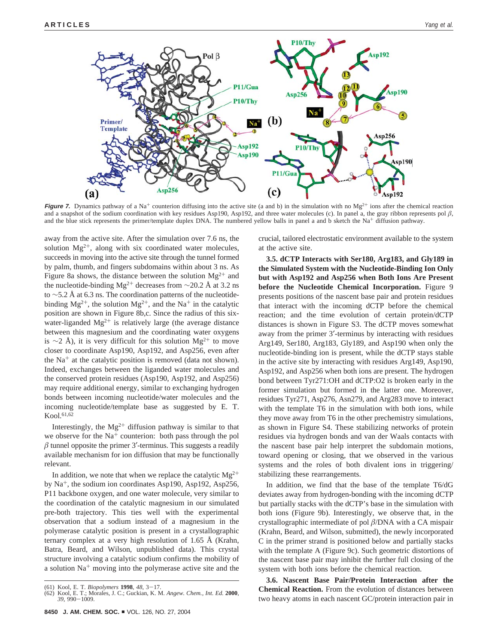

**Figure 7.** Dynamics pathway of a Na<sup>+</sup> counterion diffusing into the active site (a and b) in the simulation with no Mg<sup>2+</sup> ions after the chemical reaction and a snapshot of the sodium coordination with key residues Asp190, Asp192, and three water molecules (c). In panel a, the gray ribbon represents pol  $\beta$ , and the blue stick represents the primer/template duplex DNA. The numbered yellow balls in panel a and b sketch the Na<sup>+</sup> diffusion pathway.

away from the active site. After the simulation over 7.6 ns, the solution  $Mg^{2+}$ , along with six coordinated water molecules, succeeds in moving into the active site through the tunnel formed by palm, thumb, and fingers subdomains within about 3 ns. As Figure 8a shows, the distance between the solution  $Mg^{2+}$  and the nucleotide-binding Mg<sup>2+</sup> decreases from ∼20.2 Å at 3.2 ns to ∼5.2 Å at 6.3 ns. The coordination patterns of the nucleotidebinding  $Mg^{2+}$ , the solution  $Mg^{2+}$ , and the Na<sup>+</sup> in the catalytic position are shown in Figure 8b,c. Since the radius of this sixwater-liganded  $Mg^{2+}$  is relatively large (the average distance between this magnesium and the coordinating water oxygens is ∼2 Å), it is very difficult for this solution Mg<sup>2+</sup> to move closer to coordinate Asp190, Asp192, and Asp256, even after the  $Na<sup>+</sup>$  at the catalytic position is removed (data not shown). Indeed, exchanges between the liganded water molecules and the conserved protein residues (Asp190, Asp192, and Asp256) may require additional energy, similar to exchanging hydrogen bonds between incoming nucleotide/water molecules and the incoming nucleotide/template base as suggested by E. T.  $Kool.<sup>61,62</sup>$ 

Interestingly, the  $Mg^{2+}$  diffusion pathway is similar to that we observe for the  $Na<sup>+</sup>$  counterion: both pass through the pol  $\beta$  tunnel opposite the primer 3'-terminus. This suggests a readily available mechanism for ion diffusion that may be functionally relevant.

In addition, we note that when we replace the catalytic  $Mg^{2+}$ by  $Na<sup>+</sup>$ , the sodium ion coordinates Asp190, Asp192, Asp256, P11 backbone oxygen, and one water molecule, very similar to the coordination of the catalytic magnesium in our simulated pre-both trajectory. This ties well with the experimental observation that a sodium instead of a magnesium in the polymerase catalytic position is present in a crystallographic ternary complex at a very high resolution of 1.65 Å (Krahn, Batra, Beard, and Wilson, unpublished data). This crystal structure involving a catalytic sodium confirms the mobility of a solution  $Na<sup>+</sup>$  moving into the polymerase active site and the crucial, tailored electrostatic environment available to the system at the active site.

**3.5. dCTP Interacts with Ser180, Arg183, and Gly189 in the Simulated System with the Nucleotide-Binding Ion Only but with Asp192 and Asp256 when Both Ions Are Present before the Nucleotide Chemical Incorporation.** Figure 9 presents positions of the nascent base pair and protein residues that interact with the incoming dCTP before the chemical reaction; and the time evolution of certain protein/dCTP distances is shown in Figure S3. The dCTP moves somewhat away from the primer 3′-terminus by interacting with residues Arg149, Ser180, Arg183, Gly189, and Asp190 when only the nucleotide-binding ion is present, while the dCTP stays stable in the active site by interacting with residues Arg149, Asp190, Asp192, and Asp256 when both ions are present. The hydrogen bond between Tyr271:OH and dCTP:O2 is broken early in the former simulation but formed in the latter one. Moreover, residues Tyr271, Asp276, Asn279, and Arg283 move to interact with the template T6 in the simulation with both ions, while they move away from T6 in the other prechemistry simulations, as shown in Figure S4. These stabilizing networks of protein residues via hydrogen bonds and van der Waals contacts with the nascent base pair help interpret the subdomain motions, toward opening or closing, that we observed in the various systems and the roles of both divalent ions in triggering/ stabilizing these rearrangements.

In addition, we find that the base of the template T6/dG deviates away from hydrogen-bonding with the incoming dCTP but partially stacks with the dCTP's base in the simulation with both ions (Figure 9b). Interestingly, we observe that, in the crystallographic intermediate of pol  $\beta$ /DNA with a CA mispair (Krahn, Beard, and Wilson, submitted), the newly incorporated C in the primer strand is positioned below and partially stacks with the template A (Figure 9c). Such geometric distortions of the nascent base pair may inhibit the further full closing of the system with both ions before the chemical reaction.

**3.6. Nascent Base Pair/Protein Interaction after the Chemical Reaction.** From the evolution of distances between two heavy atoms in each nascent GC/protein interaction pair in

<sup>(61)</sup> Kool, E. T. *Biopolymers* **1998**, *48*, 3-17.

<sup>(62)</sup> Kool, E. T.; Morales, J. C.; Guckian, K. M. *Angew. Chem., Int. Ed.* **<sup>2000</sup>**, *<sup>39</sup>*, 990-1009.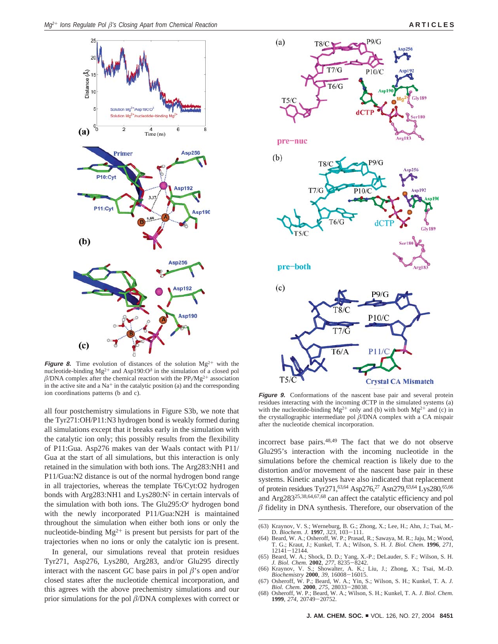

**Figure 8.** Time evolution of distances of the solution  $Mg^{2+}$  with the nucleotide-binding  $Mg^{2+}$  and Asp190: $O^{\delta}$  in the simulation of a closed pol  $\beta$ /DNA complex after the chemical reaction with the PP<sub>i</sub>/Mg<sup>2+</sup> association in the active site and a  $Na^+$  in the catalytic position (a) and the corresponding ion coordinations patterns (b and c).

all four postchemistry simulations in Figure S3b, we note that the Tyr271:OH/P11:N3 hydrogen bond is weakly formed during all simulations except that it breaks early in the simulation with the catalytic ion only; this possibly results from the flexibility of P11:Gua. Asp276 makes van der Waals contact with P11/ Gua at the start of all simulations, but this interaction is only retained in the simulation with both ions. The Arg283:NH1 and P11/Gua:N2 distance is out of the normal hydrogen bond range in all trajectories, whereas the template T6/Cyt:O2 hydrogen bonds with Arg283:NH1 and Lys280:N<sup> $\xi$ </sup> in certain intervals of the simulation with both ions. The Glu295: $O<sup>\epsilon</sup>$  hydrogen bond with the newly incorporated P11/Gua:N2H is maintained throughout the simulation when either both ions or only the nucleotide-binding  $Mg^{2+}$  is present but persists for part of the trajectories when no ions or only the catalytic ion is present.

In general, our simulations reveal that protein residues Tyr271, Asp276, Lys280, Arg283, and/or Glu295 directly interact with the nascent GC base pairs in pol  $\beta$ 's open and/or closed states after the nucleotide chemical incorporation, and this agrees with the above prechemistry simulations and our prior simulations for the pol  $\beta$ /DNA complexes with correct or



**Figure 9.** Conformations of the nascent base pair and several protein residues interacting with the incoming dCTP in the simulated systems (a) with the nucleotide-binding  $Mg^{2+}$  only and (b) with both  $Mg^{2+}$  and (c) in the crystallographic intermediate pol  $\beta$ /DNA complex with a CA mispair after the nucleotide chemical incorporation.

incorrect base pairs.48,49 The fact that we do not observe Glu295's interaction with the incoming nucleotide in the simulations before the chemical reaction is likely due to the distortion and/or movement of the nascent base pair in these systems. Kinetic analyses have also indicated that replacement of protein residues Tyr271,<sup>63,64</sup> Asp276,<sup>27</sup> Asn279,<sup>63,64</sup> Lys280,<sup>65,66</sup> and Arg28325,38,64,67,68 can affect the catalytic efficiency and pol  $\beta$  fidelity in DNA synthesis. Therefore, our observation of the

- (65) Beard, W. A.; Shock, D. D.; Yang, X.-P.; DeLauder, S. F.; Wilson, S. H. *J. Biol. Chem.* **2002**, *277*, 8235-8242.
- (66) Kraynov, V. S.; Showalter, A. K.; Liu, J.; Zhong, X.; Tsai, M.-D. *Biochemistry* **2000**, *39*, 16008-16015.
- (67) Osheroff, W. P.; Beard, W. A.; Yin, S.; Wilson, S. H.; Kunkel, T. A. *J. Biol. Chem.* **2000**, *275*, 28033-28038.
- (68) Osheroff, W. P.; Beard, W. A.; Wilson, S. H.; Kunkel, T. A. *J. Biol. Chem.* **1999**, *274*, 20749-20752.

<sup>(63)</sup> Kraynov, V. S.; Werneburg, B. G.; Zhong, X.; Lee, H.; Ahn, J.; Tsai, M.- D. *Biochem. J.* **1997**, *323*, 103-111. (64) Beard, W. A.; Osheroff, W. P.; Prasad, R.; Sawaya, M. R.; Jaju, M.; Wood,

T. G.; Kraut, J.; Kunkel, T. A.; Wilson, S. H. *J. Biol. Chem.* **1996**, *271*, 12141-12144.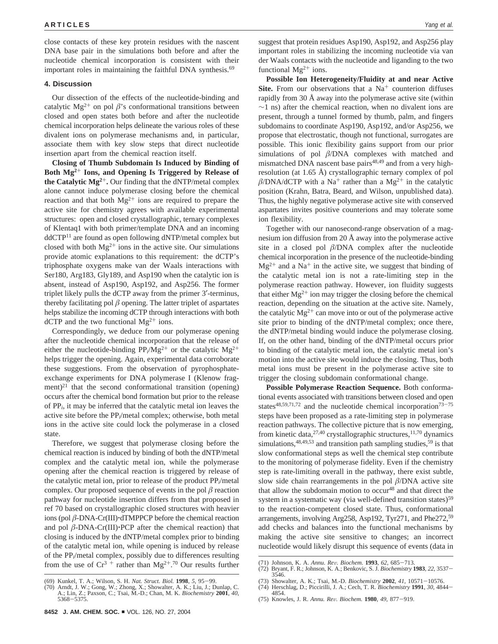close contacts of these key protein residues with the nascent DNA base pair in the simulations both before and after the nucleotide chemical incorporation is consistent with their important roles in maintaining the faithful DNA synthesis.<sup>69</sup>

## **4. Discussion**

Our dissection of the effects of the nucleotide-binding and catalytic Mg<sup>2+</sup> on pol  $\beta$ 's conformational transitions between closed and open states both before and after the nucleotide chemical incorporation helps delineate the various roles of these divalent ions on polymerase mechanisms and, in particular, associate them with key slow steps that direct nucleotide insertion apart from the chemical reaction itself.

**Closing of Thumb Subdomain Is Induced by Binding of Both Mg2**<sup>+</sup> **Ions, and Opening Is Triggered by Release of the Catalytic**  $Mg^{2+}$ **. Our finding that the dNTP/metal complex** alone cannot induce polymerase closing before the chemical reaction and that both  $Mg^{2+}$  ions are required to prepare the active site for chemistry agrees with available experimental structures: open and closed crystallographic, ternary complexes of Klentaq1 with both primer/template DNA and an incoming ddCTP11 are found as open following dNTP/metal complex but closed with both  $Mg^{2+}$  ions in the active site. Our simulations provide atomic explanations to this requirement: the dCTP's triphosphate oxygens make van der Waals interactions with Ser180, Arg183, Gly189, and Asp190 when the catalytic ion is absent, instead of Asp190, Asp192, and Asp256. The former triplet likely pulls the dCTP away from the primer 3′-terminus, thereby facilitating pol  $\beta$  opening. The latter triplet of aspartates helps stabilize the incoming dCTP through interactions with both dCTP and the two functional  $Mg^{2+}$  ions.

Correspondingly, we deduce from our polymerase opening after the nucleotide chemical incorporation that the release of either the nucleotide-binding  $PP_i/Mg^{2+}$  or the catalytic  $Mg^{2+}$ helps trigger the opening. Again, experimental data corroborate these suggestions. From the observation of pyrophosphateexchange experiments for DNA polymerase I (Klenow fragment) $^{21}$  that the second conformational transition (opening) occurs after the chemical bond formation but prior to the release of PP*i*, it may be inferred that the catalytic metal ion leaves the active site before the PP*i*/metal complex; otherwise, both metal ions in the active site could lock the polymerase in a closed state.

Therefore, we suggest that polymerase closing before the chemical reaction is induced by binding of both the dNTP/metal complex and the catalytic metal ion, while the polymerase opening after the chemical reaction is triggered by release of the catalytic metal ion, prior to release of the product PP*i*/metal complex. Our proposed sequence of events in the pol  $\beta$  reaction pathway for nucleotide insertion differs from that proposed in ref 70 based on crystallographic closed structures with heavier ions (pol  $\beta$ -DNA-Cr(III) $\cdot$ dTMPPCP before the chemical reaction and pol  $\beta$ -DNA-Cr(III). PCP after the chemical reaction) that closing is induced by the dNTP/metal complex prior to binding of the catalytic metal ion, while opening is induced by release of the PP*i*/metal complex, possibly due to differences resulting from the use of  $Cr^3$  + rather than  $Mg^{2+}$ .<sup>70</sup> Our results further

suggest that protein residues Asp190, Asp192, and Asp256 play important roles in stabilizing the incoming nucleotide via van der Waals contacts with the nucleotide and liganding to the two functional  $Mg^{2+}$  ions.

**Possible Ion Heterogeneity/Fluidity at and near Active Site.** From our observations that a  $Na<sup>+</sup>$  counterion diffuses rapidly from 30 Å away into the polymerase active site (within  $\sim$ 1 ns) after the chemical reaction, when no divalent ions are present, through a tunnel formed by thumb, palm, and fingers subdomains to coordinate Asp190, Asp192, and/or Asp256, we propose that electrostatic, though not functional, surrogates are possible. This ionic flexibility gains support from our prior simulations of pol  $\beta$ /DNA complexes with matched and mismatched DNA nascent base pairs<sup>48,49</sup> and from a very highresolution (at 1.65 Å) crystallographic ternary complex of pol  $\beta$ /DNA/dCTP with a Na<sup>+</sup> rather than a Mg<sup>2+</sup> in the catalytic position (Krahn, Batra, Beard, and Wilson, unpublished data). Thus, the highly negative polymerase active site with conserved aspartates invites positive counterions and may tolerate some ion flexibility.

Together with our nanosecond-range observation of a magnesium ion diffusion from 20 Å away into the polymerase active site in a closed pol  $\beta$ /DNA complex after the nucleotide chemical incorporation in the presence of the nucleotide-binding  $Mg^{2+}$  and a Na<sup>+</sup> in the active site, we suggest that binding of the catalytic metal ion is not a rate-limiting step in the polymerase reaction pathway. However, ion fluidity suggests that either  $Mg^{2+}$  ion may trigger the closing before the chemical reaction, depending on the situation at the active site. Namely, the catalytic  $Mg^{2+}$  can move into or out of the polymerase active site prior to binding of the dNTP/metal complex; once there, the dNTP/metal binding would induce the polymerase closing. If, on the other hand, binding of the dNTP/metal occurs prior to binding of the catalytic metal ion, the catalytic metal ion's motion into the active site would induce the closing. Thus, both metal ions must be present in the polymerase active site to trigger the closing subdomain conformational change.

**Possible Polymerase Reaction Sequence.** Both conformational events associated with transitions between closed and open states<sup>48,59,71,72</sup> and the nucleotide chemical incorporation<sup>73-75</sup> steps have been proposed as a rate-limiting step in polymerase reaction pathways. The collective picture that is now emerging, from kinetic data,  $27,40$  crystallographic structures,  $11,70$  dynamics simulations, $48,49,53$  and transition path sampling studies,  $59$  is that slow conformational steps as well the chemical step contribute to the monitoring of polymerase fidelity. Even if the chemistry step is rate-limiting overall in the pathway, there exist subtle, slow side chain rearrangements in the pol  $\beta$ /DNA active site that allow the subdomain motion to occur<sup>48</sup> and that direct the system in a systematic way (via well-defined transition states)<sup>59</sup> to the reaction-competent closed state. Thus, conformational arrangements, involving Arg258, Asp192, Tyr271, and Phe272,<sup>59</sup> add checks and balances into the functional mechanisms by making the active site sensitive to changes; an incorrect nucleotide would likely disrupt this sequence of events (data in

<sup>(71)</sup> Johnson, K. A. *Annu. Re*V*. Biochem.* **1993**, *62*, 685-713.

<sup>(72)</sup> Bryant, F. R.; Johnson, K. A.; Benkovic, S. J. *Biochemistry* **1983**, *22*, 3537- 3546.

<sup>(73)</sup> Showalter, A. K.; Tsai, M.-D. *Biochemistry* **2002**, *41*, 10571-10576. (74) Herschlag, D.; Piccirilli, J. A.; Cech, T. R. *Biochemistry* **1991**, *30*, 4844-

<sup>(69)</sup> Kunkel, T. A.; Wilson, S. H. *Nat. Struct. Biol.* **1998**, *5*, 95-99. (70) Arndt, J. W.; Gong, W.; Zhong, X.; Showalter, A. K.; Liu, J.; Dunlap, C. A.; Lin, Z.; Paxson, C.; Tsai, M.-D.; Chan, M. K. *Biochemistry* **2001**, *40*,

<sup>5368</sup>-5375.

<sup>4854.</sup> (75) Knowles, J. R. *Annu. Re*V*. Biochem.* **1980**, *49*, 877-919.